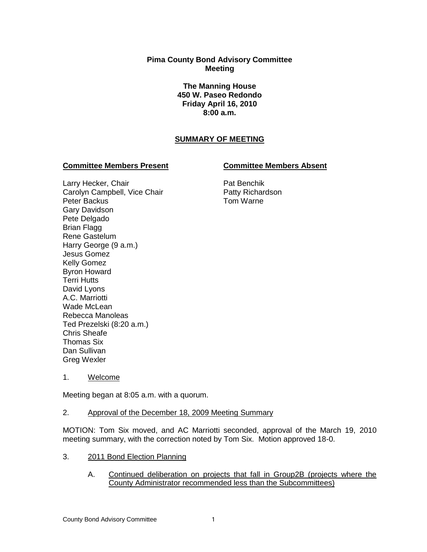# **Pima County Bond Advisory Committee Meeting**

**The Manning House 450 W. Paseo Redondo Friday April 16, 2010 8:00 a.m.**

# **SUMMARY OF MEETING**

## **Committee Members Present Committee Members Absent**

Larry Hecker, Chair Carolyn Campbell, Vice Chair Peter Backus Gary Davidson Pete Delgado Brian Flagg Rene Gastelum Harry George (9 a.m.) Jesus Gomez Kelly Gomez Byron Howard Terri Hutts David Lyons A.C. Marriotti Wade McLean Rebecca Manoleas Ted Prezelski (8:20 a.m.) Chris Sheafe Thomas Six Dan Sullivan Greg Wexler

Pat Benchik Patty Richardson Tom Warne

1. Welcome

Meeting began at 8:05 a.m. with a quorum.

### 2. Approval of the December 18, 2009 Meeting Summary

MOTION: Tom Six moved, and AC Marriotti seconded, approval of the March 19, 2010 meeting summary, with the correction noted by Tom Six. Motion approved 18-0.

- 3. 2011 Bond Election Planning
	- A. Continued deliberation on projects that fall in Group2B (projects where the County Administrator recommended less than the Subcommittees)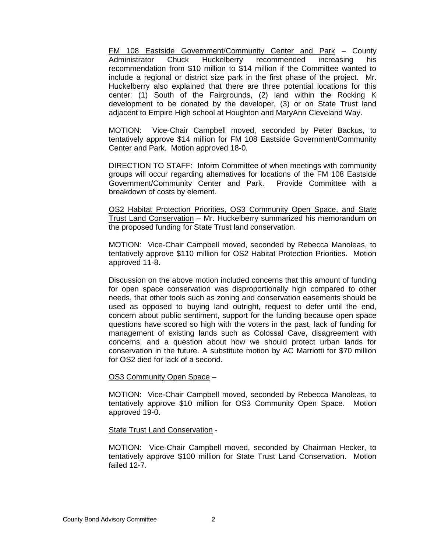FM 108 Eastside Government/Community Center and Park – County Administrator Chuck Huckelberry recommended increasing his recommendation from \$10 million to \$14 million if the Committee wanted to include a regional or district size park in the first phase of the project. Mr. Huckelberry also explained that there are three potential locations for this center: (1) South of the Fairgrounds, (2) land within the Rocking K development to be donated by the developer, (3) or on State Trust land adjacent to Empire High school at Houghton and MaryAnn Cleveland Way.

MOTION: Vice-Chair Campbell moved, seconded by Peter Backus, to tentatively approve \$14 million for FM 108 Eastside Government/Community Center and Park. Motion approved 18-0.

DIRECTION TO STAFF: Inform Committee of when meetings with community groups will occur regarding alternatives for locations of the FM 108 Eastside Government/Community Center and Park. Provide Committee with a breakdown of costs by element.

OS2 Habitat Protection Priorities, OS3 Community Open Space, and State Trust Land Conservation – Mr. Huckelberry summarized his memorandum on the proposed funding for State Trust land conservation.

MOTION: Vice-Chair Campbell moved, seconded by Rebecca Manoleas, to tentatively approve \$110 million for OS2 Habitat Protection Priorities. Motion approved 11-8.

Discussion on the above motion included concerns that this amount of funding for open space conservation was disproportionally high compared to other needs, that other tools such as zoning and conservation easements should be used as opposed to buying land outright, request to defer until the end, concern about public sentiment, support for the funding because open space questions have scored so high with the voters in the past, lack of funding for management of existing lands such as Colossal Cave, disagreement with concerns, and a question about how we should protect urban lands for conservation in the future. A substitute motion by AC Marriotti for \$70 million for OS2 died for lack of a second.

### OS3 Community Open Space –

MOTION: Vice-Chair Campbell moved, seconded by Rebecca Manoleas, to tentatively approve \$10 million for OS3 Community Open Space. Motion approved 19-0.

### State Trust Land Conservation -

MOTION: Vice-Chair Campbell moved, seconded by Chairman Hecker, to tentatively approve \$100 million for State Trust Land Conservation. Motion failed 12-7.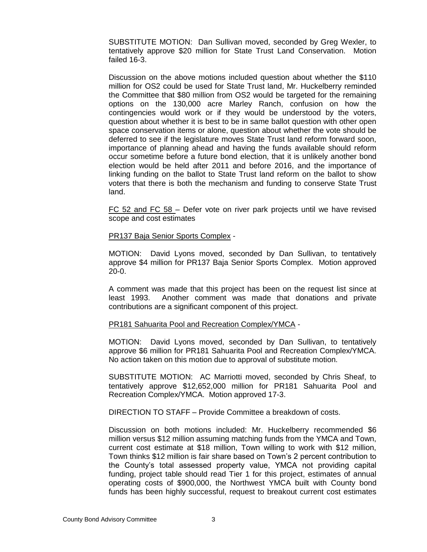SUBSTITUTE MOTION: Dan Sullivan moved, seconded by Greg Wexler, to tentatively approve \$20 million for State Trust Land Conservation. Motion failed 16-3.

Discussion on the above motions included question about whether the \$110 million for OS2 could be used for State Trust land, Mr. Huckelberry reminded the Committee that \$80 million from OS2 would be targeted for the remaining options on the 130,000 acre Marley Ranch, confusion on how the contingencies would work or if they would be understood by the voters, question about whether it is best to be in same ballot question with other open space conservation items or alone, question about whether the vote should be deferred to see if the legislature moves State Trust land reform forward soon, importance of planning ahead and having the funds available should reform occur sometime before a future bond election, that it is unlikely another bond election would be held after 2011 and before 2016, and the importance of linking funding on the ballot to State Trust land reform on the ballot to show voters that there is both the mechanism and funding to conserve State Trust land.

FC 52 and FC 58 - Defer vote on river park projects until we have revised scope and cost estimates

PR137 Baja Senior Sports Complex -

MOTION: David Lyons moved, seconded by Dan Sullivan, to tentatively approve \$4 million for PR137 Baja Senior Sports Complex. Motion approved 20-0.

A comment was made that this project has been on the request list since at least 1993. Another comment was made that donations and private contributions are a significant component of this project.

### PR181 Sahuarita Pool and Recreation Complex/YMCA -

MOTION: David Lyons moved, seconded by Dan Sullivan, to tentatively approve \$6 million for PR181 Sahuarita Pool and Recreation Complex/YMCA. No action taken on this motion due to approval of substitute motion.

SUBSTITUTE MOTION: AC Marriotti moved, seconded by Chris Sheaf, to tentatively approve \$12,652,000 million for PR181 Sahuarita Pool and Recreation Complex/YMCA. Motion approved 17-3.

DIRECTION TO STAFF – Provide Committee a breakdown of costs.

Discussion on both motions included: Mr. Huckelberry recommended \$6 million versus \$12 million assuming matching funds from the YMCA and Town, current cost estimate at \$18 million, Town willing to work with \$12 million, Town thinks \$12 million is fair share based on Town's 2 percent contribution to the County's total assessed property value, YMCA not providing capital funding, project table should read Tier 1 for this project, estimates of annual operating costs of \$900,000, the Northwest YMCA built with County bond funds has been highly successful, request to breakout current cost estimates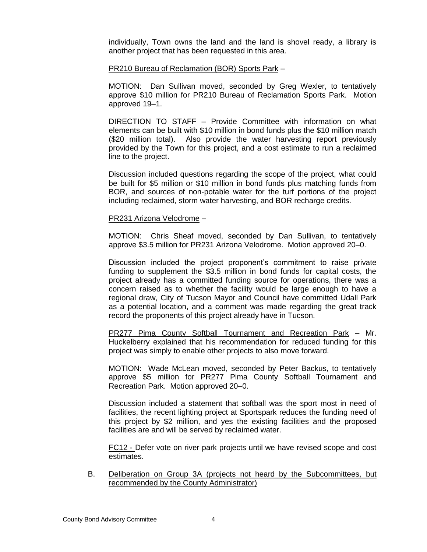individually, Town owns the land and the land is shovel ready, a library is another project that has been requested in this area.

#### PR210 Bureau of Reclamation (BOR) Sports Park –

MOTION: Dan Sullivan moved, seconded by Greg Wexler, to tentatively approve \$10 million for PR210 Bureau of Reclamation Sports Park. Motion approved 19–1.

DIRECTION TO STAFF – Provide Committee with information on what elements can be built with \$10 million in bond funds plus the \$10 million match (\$20 million total). Also provide the water harvesting report previously provided by the Town for this project, and a cost estimate to run a reclaimed line to the project.

Discussion included questions regarding the scope of the project, what could be built for \$5 million or \$10 million in bond funds plus matching funds from BOR, and sources of non-potable water for the turf portions of the project including reclaimed, storm water harvesting, and BOR recharge credits.

### PR231 Arizona Velodrome –

MOTION: Chris Sheaf moved, seconded by Dan Sullivan, to tentatively approve \$3.5 million for PR231 Arizona Velodrome. Motion approved 20–0.

Discussion included the project proponent's commitment to raise private funding to supplement the \$3.5 million in bond funds for capital costs, the project already has a committed funding source for operations, there was a concern raised as to whether the facility would be large enough to have a regional draw, City of Tucson Mayor and Council have committed Udall Park as a potential location, and a comment was made regarding the great track record the proponents of this project already have in Tucson.

PR277 Pima County Softball Tournament and Recreation Park – Mr. Huckelberry explained that his recommendation for reduced funding for this project was simply to enable other projects to also move forward.

MOTION: Wade McLean moved, seconded by Peter Backus, to tentatively approve \$5 million for PR277 Pima County Softball Tournament and Recreation Park. Motion approved 20–0.

Discussion included a statement that softball was the sport most in need of facilities, the recent lighting project at Sportspark reduces the funding need of this project by \$2 million, and yes the existing facilities and the proposed facilities are and will be served by reclaimed water.

FC12 - Defer vote on river park projects until we have revised scope and cost estimates.

B. Deliberation on Group 3A (projects not heard by the Subcommittees, but recommended by the County Administrator)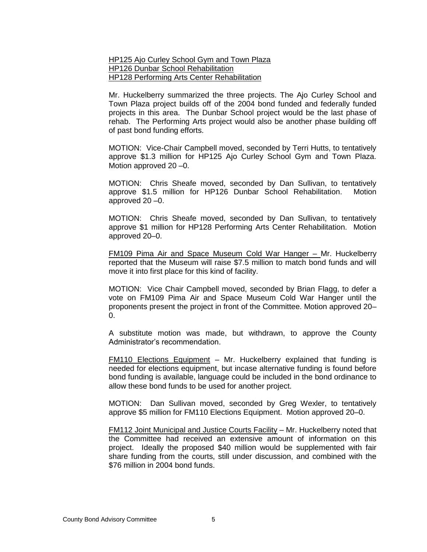HP125 Ajo Curley School Gym and Town Plaza HP126 Dunbar School Rehabilitation HP128 Performing Arts Center Rehabilitation

Mr. Huckelberry summarized the three projects. The Ajo Curley School and Town Plaza project builds off of the 2004 bond funded and federally funded projects in this area. The Dunbar School project would be the last phase of rehab. The Performing Arts project would also be another phase building off of past bond funding efforts.

MOTION: Vice-Chair Campbell moved, seconded by Terri Hutts, to tentatively approve \$1.3 million for HP125 Ajo Curley School Gym and Town Plaza. Motion approved 20 –0.

MOTION: Chris Sheafe moved, seconded by Dan Sullivan, to tentatively approve \$1.5 million for HP126 Dunbar School Rehabilitation. Motion approved 20 –0.

MOTION: Chris Sheafe moved, seconded by Dan Sullivan, to tentatively approve \$1 million for HP128 Performing Arts Center Rehabilitation. Motion approved 20–0.

FM109 Pima Air and Space Museum Cold War Hanger – Mr. Huckelberry reported that the Museum will raise \$7.5 million to match bond funds and will move it into first place for this kind of facility.

MOTION: Vice Chair Campbell moved, seconded by Brian Flagg, to defer a vote on FM109 Pima Air and Space Museum Cold War Hanger until the proponents present the project in front of the Committee. Motion approved 20– 0.

A substitute motion was made, but withdrawn, to approve the County Administrator's recommendation.

FM110 Elections Equipment – Mr. Huckelberry explained that funding is needed for elections equipment, but incase alternative funding is found before bond funding is available, language could be included in the bond ordinance to allow these bond funds to be used for another project.

MOTION: Dan Sullivan moved, seconded by Greg Wexler, to tentatively approve \$5 million for FM110 Elections Equipment. Motion approved 20–0.

FM112 Joint Municipal and Justice Courts Facility – Mr. Huckelberry noted that the Committee had received an extensive amount of information on this project. Ideally the proposed \$40 million would be supplemented with fair share funding from the courts, still under discussion, and combined with the \$76 million in 2004 bond funds.